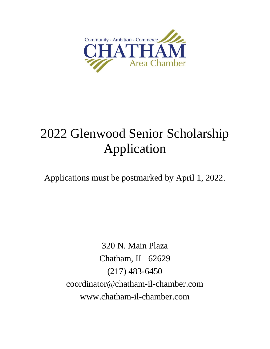

# 2022 Glenwood Senior Scholarship Application

Applications must be postmarked by April 1, 2022.

320 N. Main Plaza Chatham, IL 62629 (217) 483-6450 coordinator@chatham-il-chamber.com www.chatham-il-chamber.com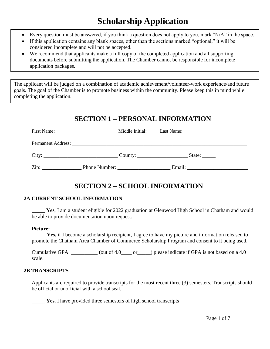## **Scholarship Application**

- Every question must be answered, if you think a question does not apply to you, mark " $N/A$ " in the space.
- If this application contains any blank spaces, other than the sections marked "optional," it will be considered incomplete and will not be accepted.
- We recommend that applicants make a full copy of the completed application and all supporting documents before submitting the application. The Chamber cannot be responsible for incomplete application packages.

The applicant will be judged on a combination of academic achievement/volunteer-work experience/and future goals. The goal of the Chamber is to promote business within the community. Please keep this in mind while completing the application.

## **SECTION 1 – PERSONAL INFORMATION**

|                                    | $City:$ City: | State: $\_\_$ |  |
|------------------------------------|---------------|---------------|--|
| $\mathop{\mathrm{Zip}}\nolimits$ : | Phone Number: | Email:        |  |

## **SECTION 2 – SCHOOL INFORMATION**

#### **2A CURRENT SCHOOL INFORMATION**

\_\_\_\_\_ **Yes**, I am a student eligible for 2022 graduation at Glenwood High School in Chatham and would be able to provide documentation upon request.

#### **Picture:**

\_\_\_\_\_\_ **Yes,** if I become a scholarship recipient, I agree to have my picture and information released to promote the Chatham Area Chamber of Commerce Scholarship Program and consent to it being used.

Cumulative GPA: \_\_\_\_\_\_\_\_\_ (out of 4.0\_\_\_\_ or \_\_\_\_) please indicate if GPA is not based on a 4.0 scale.

#### **2B TRANSCRIPTS**

Applicants are required to provide transcripts for the most recent three (3) semesters. Transcripts should be official or unofficial with a school seal.

**Yes**, I have provided three semesters of high school transcripts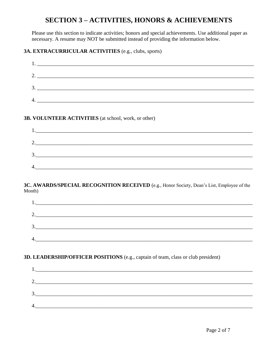## **SECTION 3-ACTIVITIES, HONORS & ACHIEVEMENTS**

Please use this section to indicate activities; honors and special achievements. Use additional paper as necessary. A resume may NOT be submitted instead of providing the information below.

#### 3A. EXTRACURRICULAR ACTIVITIES (e.g., clubs, sports)

| 2.                                                   |  |
|------------------------------------------------------|--|
|                                                      |  |
| $\frac{3}{2}$                                        |  |
|                                                      |  |
| 3B. VOLUNTEER ACTIVITIES (at school, work, or other) |  |
|                                                      |  |
| 2. $\qquad \qquad$                                   |  |
|                                                      |  |
|                                                      |  |

#### 3C. AWARDS/SPECIAL RECOGNITION RECEIVED (e.g., Honor Society, Dean's List, Employee of the Month)

| ◠<br>$\mathcal{L}_{\bullet}$ |  |  |  |
|------------------------------|--|--|--|
| $\mathbf{R}$<br>J.,          |  |  |  |
| 4.                           |  |  |  |
|                              |  |  |  |

#### 3D. LEADERSHIP/OFFICER POSITIONS (e.g., captain of team, class or club president)

| . .             |  |  |
|-----------------|--|--|
|                 |  |  |
| ◠<br><u>، ،</u> |  |  |
| 3.              |  |  |
|                 |  |  |
| 4.              |  |  |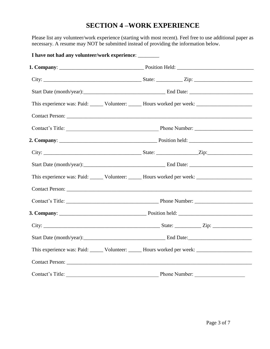#### **SECTION 4 –WORK EXPERIENCE**

Please list any volunteer/work experience (starting with most recent). Feel free to use additional paper as necessary. A resume may NOT be submitted instead of providing the information below.

| I have not had any volunteer/work experience: _______                                                |  |               |  |  |
|------------------------------------------------------------------------------------------------------|--|---------------|--|--|
|                                                                                                      |  |               |  |  |
|                                                                                                      |  |               |  |  |
|                                                                                                      |  |               |  |  |
| This experience was: Paid: ______ Volunteer: _____ Hours worked per week: __________________________ |  |               |  |  |
|                                                                                                      |  |               |  |  |
|                                                                                                      |  |               |  |  |
|                                                                                                      |  |               |  |  |
|                                                                                                      |  |               |  |  |
|                                                                                                      |  |               |  |  |
| This experience was: Paid: ______ Volunteer: ______ Hours worked per week: _________________________ |  |               |  |  |
| Contact Person:                                                                                      |  |               |  |  |
|                                                                                                      |  |               |  |  |
|                                                                                                      |  |               |  |  |
|                                                                                                      |  |               |  |  |
|                                                                                                      |  |               |  |  |
| This experience was: Paid: _____ Volunteer: _____ Hours worked per week: ___________________________ |  |               |  |  |
|                                                                                                      |  |               |  |  |
| Contact's Title:                                                                                     |  | Phone Number: |  |  |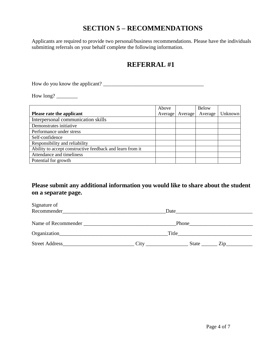## **SECTION 5 – RECOMMENDATIONS**

Applicants are required to provide two personal/business recommendations. Please have the individuals submitting referrals on your behalf complete the following information.

## **REFERRAL #1**

How do you know the applicant? \_\_\_\_\_\_\_\_\_\_\_\_\_\_\_\_\_\_\_\_\_\_\_\_\_\_\_\_\_\_\_\_\_\_\_\_\_\_

How long? \_\_\_\_\_\_\_\_

|                                                           | Above   |         | Below   |                |
|-----------------------------------------------------------|---------|---------|---------|----------------|
| Please rate the applicant                                 | Average | Average | Average | <b>Unknown</b> |
| Interpersonal communication skills                        |         |         |         |                |
| Demonstrates initiative                                   |         |         |         |                |
| Performance under stress                                  |         |         |         |                |
| Self-confidence                                           |         |         |         |                |
| Responsibility and reliability                            |         |         |         |                |
| Ability to accept constructive feedback and learn from it |         |         |         |                |
| Attendance and timeliness                                 |         |         |         |                |
| Potential for growth                                      |         |         |         |                |

#### **Please submit any additional information you would like to share about the student on a separate page.**

| Signature of<br>Recommender |      | Date                |  |
|-----------------------------|------|---------------------|--|
| Name of Recommender         |      | Phone_              |  |
|                             |      | Title               |  |
| <b>Street Address</b>       | City | <b>State</b><br>Zip |  |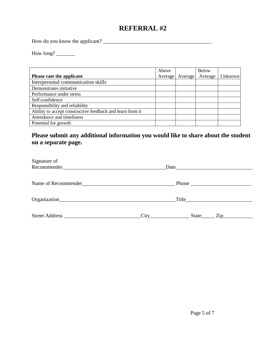## **REFERRAL #2**

How do you know the applicant? \_\_\_\_\_\_\_\_\_\_\_\_\_\_\_\_\_\_\_\_\_\_\_\_\_\_\_\_\_\_\_\_\_\_\_\_\_\_\_\_\_

How long?

|                                                           | Above   |         | <b>Below</b> |         |
|-----------------------------------------------------------|---------|---------|--------------|---------|
| Please rate the applicant                                 | Average | Average | Average      | Unknown |
| Interpersonal communication skills                        |         |         |              |         |
| Demonstrates initiative                                   |         |         |              |         |
| Performance under stress                                  |         |         |              |         |
| Self-confidence                                           |         |         |              |         |
| Responsibility and reliability                            |         |         |              |         |
| Ability to accept constructive feedback and learn from it |         |         |              |         |
| Attendance and timeliness                                 |         |         |              |         |
| Potential for growth                                      |         |         |              |         |

#### **Please submit any additional information you would like to share about the student on a separate page.**

| Signature of                                                                                                                                                                                                                  |                                                                                                                                                                                                                                                 |
|-------------------------------------------------------------------------------------------------------------------------------------------------------------------------------------------------------------------------------|-------------------------------------------------------------------------------------------------------------------------------------------------------------------------------------------------------------------------------------------------|
|                                                                                                                                                                                                                               | Phone                                                                                                                                                                                                                                           |
|                                                                                                                                                                                                                               | Title <b>The Community Community</b> and the community of the community of the community of the community of the community of the community of the community of the community of the community of the community of the community of             |
| Street Address and the Street Address and the Street Address and the Street Address and the Street Address and the Street Address and the Street Address and the Street Address and the Street Address and the Street Address | City<br>State<br>Zip and the same state of the state of the state of the state of the state of the state of the state of the state of the state of the state of the state of the state of the state of the state of the state of the state of t |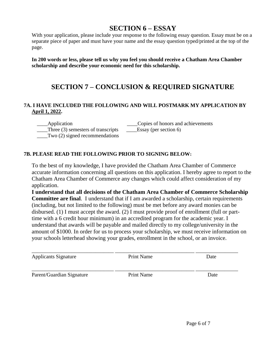### **SECTION 6 – ESSAY**

With your application, please include your response to the following essay question. Essay must be on a separate piece of paper and must have your name and the essay question typed/printed at the top of the page.

**In 200 words or less, please tell us why you feel you should receive a Chatham Area Chamber scholarship and describe your economic need for this scholarship.**

## **SECTION 7 – CONCLUSION & REQUIRED SIGNATURE**

#### **7A. I HAVE INCLUDED THE FOLLOWING AND WILL POSTMARK MY APPLICATION BY April 1, 2022.**

\_\_\_\_Application \_\_\_\_Copies of honors and achievements

 \_\_\_\_Three (3) semesters of transcripts \_\_\_\_Essay (per section 6)  $Tw$ <sup>o</sup> (2) signed recommendations

#### **7B. PLEASE READ THE FOLLOWING PRIOR TO SIGNING BELOW:**

To the best of my knowledge, I have provided the Chatham Area Chamber of Commerce accurate information concerning all questions on this application. I hereby agree to report to the Chatham Area Chamber of Commerce any changes which could affect consideration of my application.

**I understand that all decisions of the Chatham Area Chamber of Commerce Scholarship Committee are final**. I understand that if I am awarded a scholarship, certain requirements (including, but not limited to the following) must be met before any award monies can be disbursed. (1) I must accept the award. (2) I must provide proof of enrollment (full or parttime with a 6 credit hour minimum) in an accredited program for the academic year. I understand that awards will be payable and mailed directly to my college/university in the amount of \$1000. In order for us to process your scholarship, we must receive information on your schools letterhead showing your grades, enrollment in the school, or an invoice.

| <b>Applicants Signature</b> | Print Name | Date |
|-----------------------------|------------|------|
| Parent/Guardian Signature   | Print Name | Date |